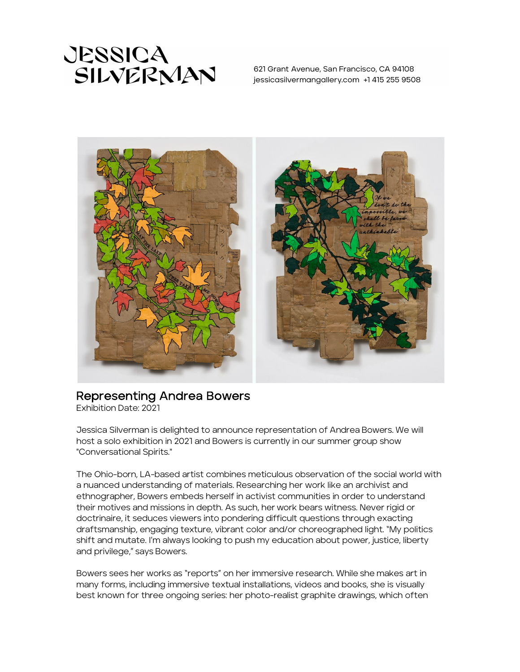

621 Grant Avenue, San Francisco, CA 94108 jessicasilvermangallery.com +1 415 255 9508



## Representing Andrea Bowers<br>Exhibition Date: 2021

Jessica Silverman is delighted to announce representation of Andrea Bowers. We will host a solo exhibition in 2021 and Bowers is currently in our summer group show "Conversational Spirits."

The Ohio-born, LA-based artist combines meticulous observation of the social world with a nuanced understanding of materials. Researching her work like an archivist and ethnographer, Bowers embeds herself in activist communities in order to understand their motives and missions in depth. As such, her work bears witness. Never rigid or doctrinaire, it seduces viewers into pondering difficult questions through exacting draftsmanship, engaging texture, vibrant color and/or choreographed light. "My politics shift and mutate. I'm always looking to push my education about power, justice, liberty and privilege," says Bowers.

Bowers sees her works as "reports" on her immersive research. While she makes art in many forms, including immersive textual installations, videos and books, she is visually best known for three ongoing series: her photo-realist graphite drawings, which often